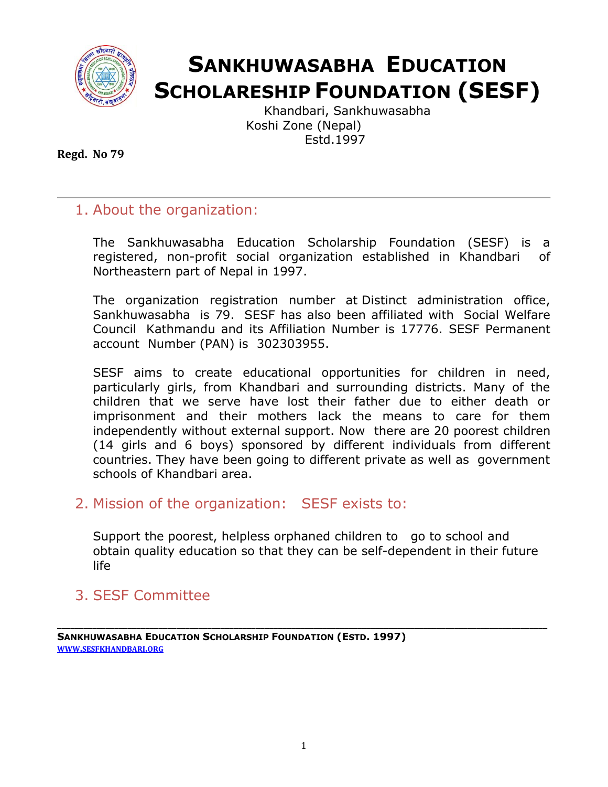

# **SANKHUWASABHA EDUCATION SCHOLARESHIP FOUNDATION (SESF)**

Khandbari, Sankhuwasabha Koshi Zone (Nepal) Estd.1997

**Regd. No 79**

# 1. About the organization:

The Sankhuwasabha Education Scholarship Foundation (SESF) is a registered, non-profit social organization established in Khandbari of Northeastern part of Nepal in 1997.

The organization registration number at Distinct administration office, Sankhuwasabha is 79. SESF has also been affiliated with Social Welfare Council Kathmandu and its Affiliation Number is 17776. SESF Permanent account Number (PAN) is 302303955.

SESF aims to create educational opportunities for children in need, particularly girls, from Khandbari and surrounding districts. Many of the children that we serve have lost their father due to either death or imprisonment and their mothers lack the means to care for them independently without external support. Now there are 20 poorest children (14 girls and 6 boys) sponsored by different individuals from different countries. They have been going to different private as well as government schools of Khandbari area.

# 2. Mission of the organization: SESF exists to:

Support the poorest, helpless orphaned children to go to school and obtain quality education so that they can be self-dependent in their future life

# 3. SESF Committee

**SANKHUWASABHA EDUCATION SCHOLARSHIP FOUNDATION (ESTD. 1997) WWW.SESFKHANDBARI.ORG**

**\_\_\_\_\_\_\_\_\_\_\_\_\_\_\_\_\_\_\_\_\_\_\_\_\_\_\_\_\_\_\_\_\_\_\_\_\_\_\_\_\_\_\_\_\_\_\_\_\_\_\_\_\_\_\_\_\_\_\_\_\_\_\_\_\_\_\_\_\_\_\_\_\_\_\_\_\_\_\_\_\_\_\_\_\_\_\_\_\_\_\_\_\_\_\_\_\_\_\_\_\_\_\_\_\_\_\_\_\_\_\_**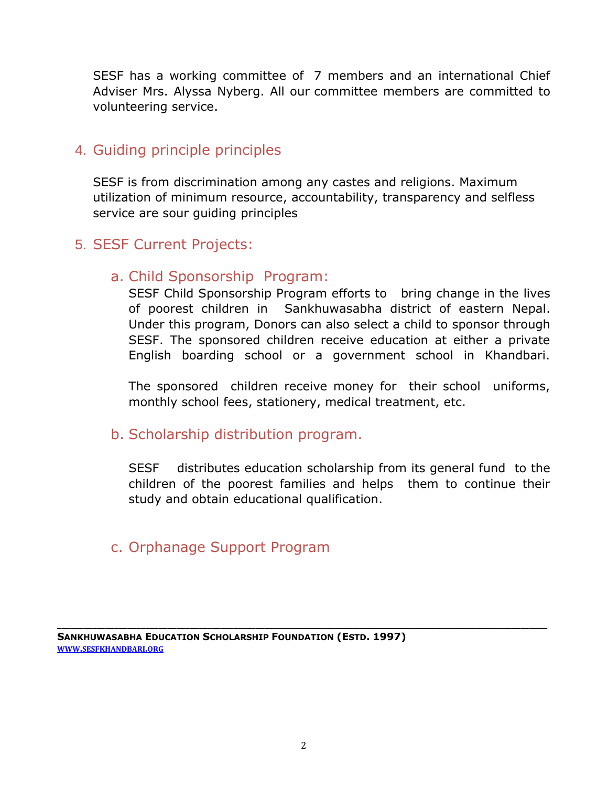SESF has a working committee of 7 members and an international Chief Adviser Mrs. Alyssa Nyberg. All our committee members are committed to volunteering service.

#### 4. Guiding principle principles

SESF is from discrimination among any castes and religions. Maximum utilization of minimum resource, accountability, transparency and selfless service are sour guiding principles

# 5. SESF Current Projects:

#### a. Child Sponsorship Program:

SESF Child Sponsorship Program efforts to bring change in the lives of poorest children in Sankhuwasabha district of eastern Nepal. Under this program, Donors can also select a child to sponsor through SESF. The sponsored children receive education at either a private English boarding school or a government school in Khandbari.

The sponsored children receive money for their school uniforms, monthly school fees, stationery, medical treatment, etc.

#### b. Scholarship distribution program.

SESF distributes education scholarship from its general fund to the children of the poorest families and helps them to continue their study and obtain educational qualification.

# c. Orphanage Support Program

**\_\_\_\_\_\_\_\_\_\_\_\_\_\_\_\_\_\_\_\_\_\_\_\_\_\_\_\_\_\_\_\_\_\_\_\_\_\_\_\_\_\_\_\_\_\_\_\_\_\_\_\_\_\_\_\_\_\_\_\_\_\_\_\_\_\_\_\_\_\_\_\_\_\_\_\_\_\_\_\_\_\_\_\_\_\_\_\_\_\_\_\_\_\_\_\_\_\_\_\_\_\_\_\_\_\_\_\_\_\_\_**